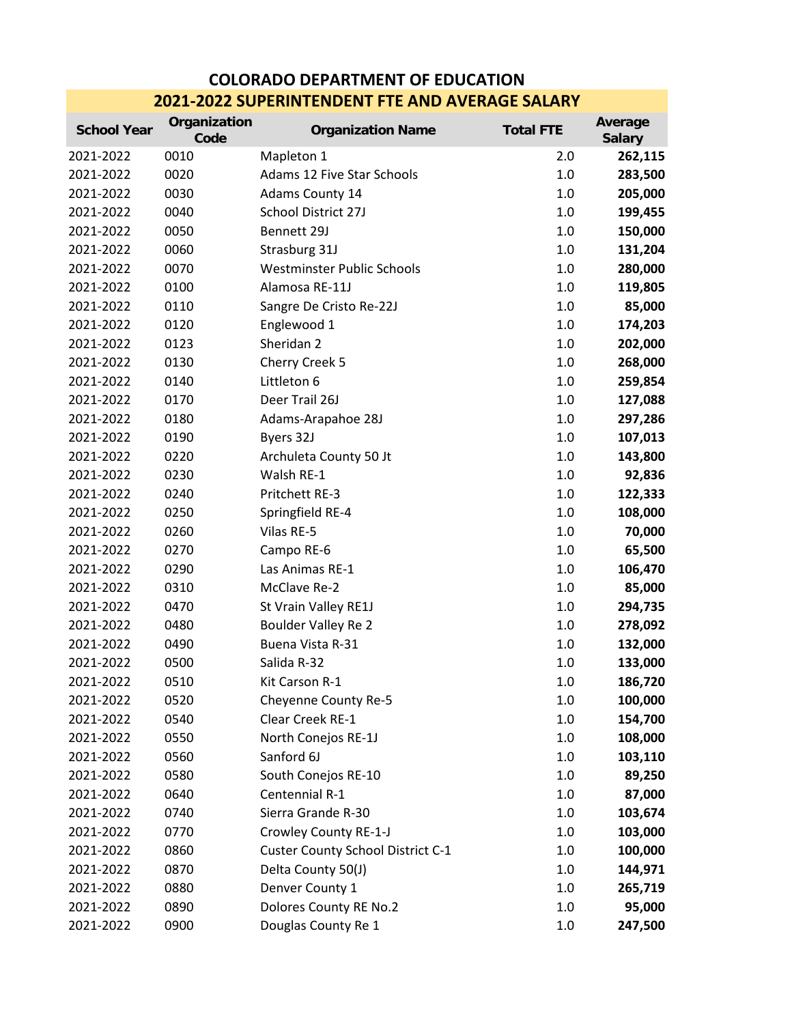## **COLORADO DEPARTMENT OF EDUCATION 2021-2022 SUPERINTENDENT FTE AND AVERAGE SALARY**

| <b>School Year</b> | Organization<br>Code | <b>Organization Name</b>          | <b>Total FTE</b> | Average<br><b>Salary</b> |
|--------------------|----------------------|-----------------------------------|------------------|--------------------------|
| 2021-2022          | 0010                 | Mapleton 1                        | 2.0              | 262,115                  |
| 2021-2022          | 0020                 | Adams 12 Five Star Schools        | 1.0              | 283,500                  |
| 2021-2022          | 0030                 | <b>Adams County 14</b>            | 1.0              | 205,000                  |
| 2021-2022          | 0040                 | School District 27J               | 1.0              | 199,455                  |
| 2021-2022          | 0050                 | Bennett 29J                       | 1.0              | 150,000                  |
| 2021-2022          | 0060                 | Strasburg 31J                     | 1.0              | 131,204                  |
| 2021-2022          | 0070                 | <b>Westminster Public Schools</b> | 1.0              | 280,000                  |
| 2021-2022          | 0100                 | Alamosa RE-11J                    | 1.0              | 119,805                  |
| 2021-2022          | 0110                 | Sangre De Cristo Re-22J           | 1.0              | 85,000                   |
| 2021-2022          | 0120                 | Englewood 1                       | 1.0              | 174,203                  |
| 2021-2022          | 0123                 | Sheridan 2                        | 1.0              | 202,000                  |
| 2021-2022          | 0130                 | Cherry Creek 5                    | 1.0              | 268,000                  |
| 2021-2022          | 0140                 | Littleton 6                       | 1.0              | 259,854                  |
| 2021-2022          | 0170                 | Deer Trail 26J                    | 1.0              | 127,088                  |
| 2021-2022          | 0180                 | Adams-Arapahoe 28J                | 1.0              | 297,286                  |
| 2021-2022          | 0190                 | Byers 32J                         | 1.0              | 107,013                  |
| 2021-2022          | 0220                 | Archuleta County 50 Jt            | 1.0              | 143,800                  |
| 2021-2022          | 0230                 | Walsh RE-1                        | 1.0              | 92,836                   |
| 2021-2022          | 0240                 | Pritchett RE-3                    | 1.0              | 122,333                  |
| 2021-2022          | 0250                 | Springfield RE-4                  | 1.0              | 108,000                  |
| 2021-2022          | 0260                 | Vilas RE-5                        | 1.0              | 70,000                   |
| 2021-2022          | 0270                 | Campo RE-6                        | 1.0              | 65,500                   |
| 2021-2022          | 0290                 | Las Animas RE-1                   | 1.0              | 106,470                  |
| 2021-2022          | 0310                 | McClave Re-2                      | 1.0              | 85,000                   |
| 2021-2022          | 0470                 | St Vrain Valley RE1J              | 1.0              | 294,735                  |
| 2021-2022          | 0480                 | Boulder Valley Re 2               | 1.0              | 278,092                  |
| 2021-2022          | 0490                 | Buena Vista R-31                  | 1.0              | 132,000                  |
| 2021-2022          | 0500                 | Salida R-32                       | 1.0              | 133,000                  |
| 2021-2022          | 0510                 | Kit Carson R-1                    | 1.0              | 186,720                  |
| 2021-2022          | 0520                 | Cheyenne County Re-5              | 1.0              | 100,000                  |
| 2021-2022          | 0540                 | Clear Creek RE-1                  | 1.0              | 154,700                  |
| 2021-2022          | 0550                 | North Conejos RE-1J               | 1.0              | 108,000                  |
| 2021-2022          | 0560                 | Sanford 6J                        | 1.0              | 103,110                  |
| 2021-2022          | 0580                 | South Conejos RE-10               | 1.0              | 89,250                   |
| 2021-2022          | 0640                 | Centennial R-1                    | 1.0              | 87,000                   |
| 2021-2022          | 0740                 | Sierra Grande R-30                | 1.0              | 103,674                  |
| 2021-2022          | 0770                 | Crowley County RE-1-J             | 1.0              | 103,000                  |
| 2021-2022          | 0860                 | Custer County School District C-1 | 1.0              | 100,000                  |
| 2021-2022          | 0870                 | Delta County 50(J)                | 1.0              | 144,971                  |
| 2021-2022          | 0880                 | Denver County 1                   | 1.0              | 265,719                  |
| 2021-2022          | 0890                 | Dolores County RE No.2            | 1.0              | 95,000                   |
| 2021-2022          | 0900                 | Douglas County Re 1               | 1.0              | 247,500                  |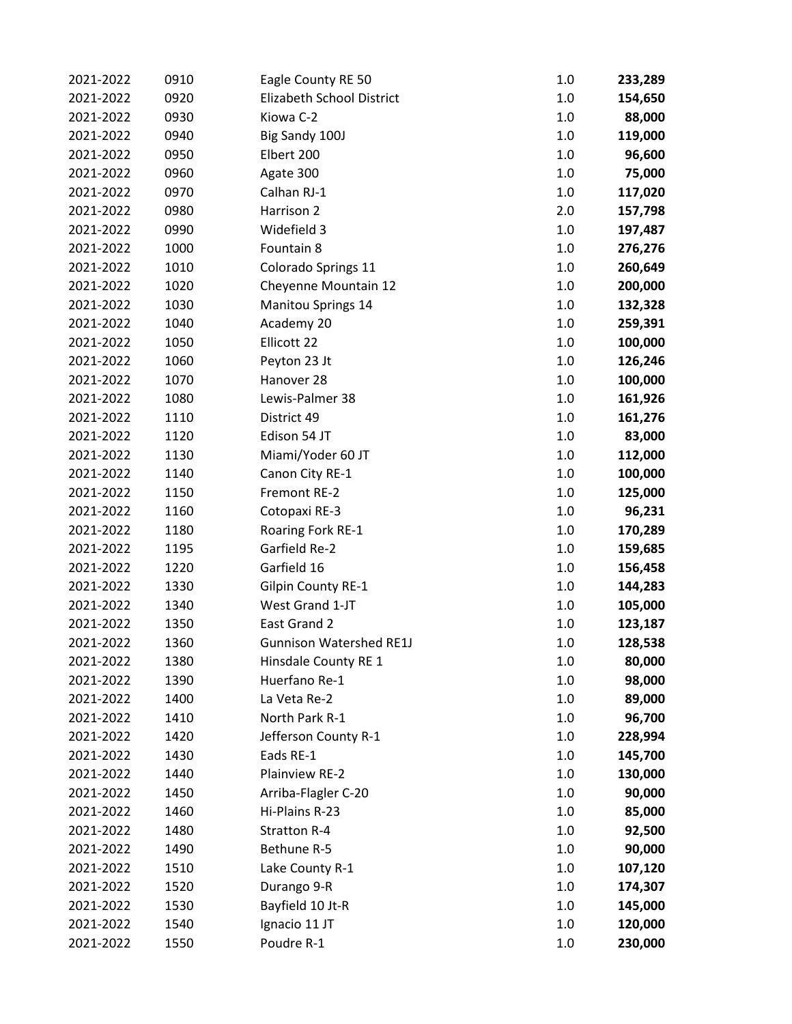| 2021-2022 | 0910 | Eagle County RE 50               | 1.0 | 233,289 |
|-----------|------|----------------------------------|-----|---------|
| 2021-2022 | 0920 | <b>Elizabeth School District</b> | 1.0 | 154,650 |
| 2021-2022 | 0930 | Kiowa C-2                        | 1.0 | 88,000  |
| 2021-2022 | 0940 | Big Sandy 100J                   | 1.0 | 119,000 |
| 2021-2022 | 0950 | Elbert 200                       | 1.0 | 96,600  |
| 2021-2022 | 0960 | Agate 300                        | 1.0 | 75,000  |
| 2021-2022 | 0970 | Calhan RJ-1                      | 1.0 | 117,020 |
| 2021-2022 | 0980 | Harrison 2                       | 2.0 | 157,798 |
| 2021-2022 | 0990 | Widefield 3                      | 1.0 | 197,487 |
| 2021-2022 | 1000 | Fountain 8                       | 1.0 | 276,276 |
| 2021-2022 | 1010 | Colorado Springs 11              | 1.0 | 260,649 |
| 2021-2022 | 1020 | Cheyenne Mountain 12             | 1.0 | 200,000 |
| 2021-2022 | 1030 | <b>Manitou Springs 14</b>        | 1.0 | 132,328 |
| 2021-2022 | 1040 | Academy 20                       | 1.0 | 259,391 |
| 2021-2022 | 1050 | Ellicott 22                      | 1.0 | 100,000 |
| 2021-2022 | 1060 | Peyton 23 Jt                     | 1.0 | 126,246 |
| 2021-2022 | 1070 | Hanover 28                       | 1.0 | 100,000 |
| 2021-2022 | 1080 | Lewis-Palmer 38                  | 1.0 | 161,926 |
| 2021-2022 | 1110 | District 49                      | 1.0 | 161,276 |
| 2021-2022 | 1120 | Edison 54 JT                     | 1.0 | 83,000  |
| 2021-2022 | 1130 | Miami/Yoder 60 JT                | 1.0 | 112,000 |
| 2021-2022 | 1140 | Canon City RE-1                  | 1.0 | 100,000 |
| 2021-2022 | 1150 | Fremont RE-2                     | 1.0 | 125,000 |
| 2021-2022 | 1160 | Cotopaxi RE-3                    | 1.0 | 96,231  |
| 2021-2022 | 1180 | Roaring Fork RE-1                | 1.0 | 170,289 |
| 2021-2022 | 1195 | Garfield Re-2                    | 1.0 | 159,685 |
| 2021-2022 | 1220 | Garfield 16                      | 1.0 | 156,458 |
| 2021-2022 | 1330 | Gilpin County RE-1               | 1.0 | 144,283 |
| 2021-2022 | 1340 | West Grand 1-JT                  | 1.0 | 105,000 |
| 2021-2022 | 1350 | East Grand 2                     | 1.0 | 123,187 |
| 2021-2022 | 1360 | <b>Gunnison Watershed RE1J</b>   | 1.0 | 128,538 |
| 2021-2022 | 1380 | Hinsdale County RE 1             | 1.0 | 80,000  |
| 2021-2022 | 1390 | Huerfano Re-1                    | 1.0 | 98,000  |
| 2021-2022 | 1400 | La Veta Re-2                     | 1.0 | 89,000  |
| 2021-2022 | 1410 | North Park R-1                   | 1.0 | 96,700  |
| 2021-2022 | 1420 | Jefferson County R-1             | 1.0 | 228,994 |
| 2021-2022 | 1430 | Eads RE-1                        | 1.0 | 145,700 |
| 2021-2022 | 1440 | Plainview RE-2                   | 1.0 | 130,000 |
| 2021-2022 | 1450 | Arriba-Flagler C-20              | 1.0 | 90,000  |
| 2021-2022 | 1460 | Hi-Plains R-23                   | 1.0 | 85,000  |
| 2021-2022 | 1480 | <b>Stratton R-4</b>              | 1.0 | 92,500  |
| 2021-2022 | 1490 | Bethune R-5                      | 1.0 | 90,000  |
| 2021-2022 | 1510 | Lake County R-1                  | 1.0 | 107,120 |
| 2021-2022 | 1520 | Durango 9-R                      | 1.0 | 174,307 |
| 2021-2022 | 1530 | Bayfield 10 Jt-R                 | 1.0 | 145,000 |
| 2021-2022 | 1540 | Ignacio 11 JT                    | 1.0 | 120,000 |
| 2021-2022 | 1550 | Poudre R-1                       | 1.0 | 230,000 |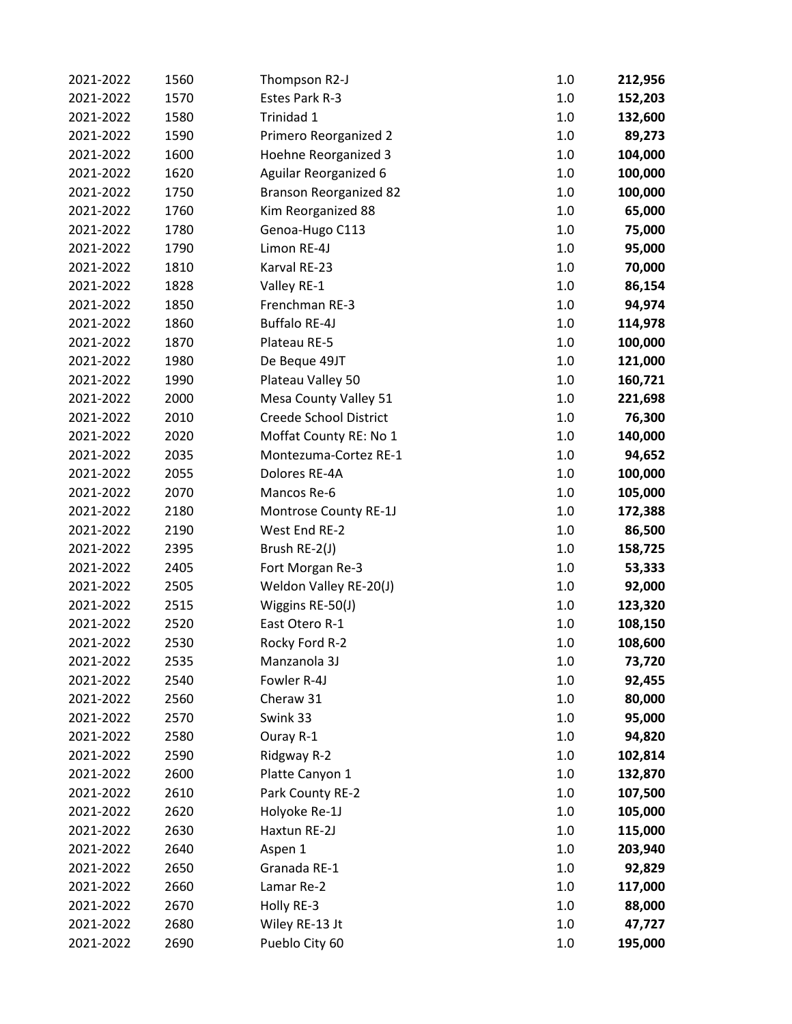| 2021-2022 | 1560 | Thompson R2-J                 | 1.0 | 212,956 |
|-----------|------|-------------------------------|-----|---------|
| 2021-2022 | 1570 | Estes Park R-3                | 1.0 | 152,203 |
| 2021-2022 | 1580 | Trinidad 1                    | 1.0 | 132,600 |
| 2021-2022 | 1590 | Primero Reorganized 2         | 1.0 | 89,273  |
| 2021-2022 | 1600 | Hoehne Reorganized 3          | 1.0 | 104,000 |
| 2021-2022 | 1620 | Aguilar Reorganized 6         | 1.0 | 100,000 |
| 2021-2022 | 1750 | <b>Branson Reorganized 82</b> | 1.0 | 100,000 |
| 2021-2022 | 1760 | Kim Reorganized 88            | 1.0 | 65,000  |
| 2021-2022 | 1780 | Genoa-Hugo C113               | 1.0 | 75,000  |
| 2021-2022 | 1790 | Limon RE-4J                   | 1.0 | 95,000  |
| 2021-2022 | 1810 | Karval RE-23                  | 1.0 | 70,000  |
| 2021-2022 | 1828 | Valley RE-1                   | 1.0 | 86,154  |
| 2021-2022 | 1850 | Frenchman RE-3                | 1.0 | 94,974  |
| 2021-2022 | 1860 | <b>Buffalo RE-4J</b>          | 1.0 | 114,978 |
| 2021-2022 | 1870 | Plateau RE-5                  | 1.0 | 100,000 |
| 2021-2022 | 1980 | De Beque 49JT                 | 1.0 | 121,000 |
| 2021-2022 | 1990 | Plateau Valley 50             | 1.0 | 160,721 |
| 2021-2022 | 2000 | Mesa County Valley 51         | 1.0 | 221,698 |
| 2021-2022 | 2010 | <b>Creede School District</b> | 1.0 | 76,300  |
| 2021-2022 | 2020 | Moffat County RE: No 1        | 1.0 | 140,000 |
| 2021-2022 | 2035 | Montezuma-Cortez RE-1         | 1.0 | 94,652  |
| 2021-2022 | 2055 | Dolores RE-4A                 | 1.0 | 100,000 |
| 2021-2022 | 2070 | Mancos Re-6                   | 1.0 | 105,000 |
| 2021-2022 | 2180 | Montrose County RE-1J         | 1.0 | 172,388 |
| 2021-2022 | 2190 | West End RE-2                 | 1.0 | 86,500  |
| 2021-2022 | 2395 | Brush RE-2(J)                 | 1.0 | 158,725 |
| 2021-2022 | 2405 | Fort Morgan Re-3              | 1.0 | 53,333  |
| 2021-2022 | 2505 | Weldon Valley RE-20(J)        | 1.0 | 92,000  |
| 2021-2022 | 2515 | Wiggins RE-50(J)              | 1.0 | 123,320 |
| 2021-2022 | 2520 | East Otero R-1                | 1.0 | 108,150 |
| 2021-2022 | 2530 | Rocky Ford R-2                | 1.0 | 108,600 |
| 2021-2022 | 2535 | Manzanola 3J                  | 1.0 | 73,720  |
| 2021-2022 | 2540 | Fowler R-4J                   | 1.0 | 92,455  |
| 2021-2022 | 2560 | Cheraw 31                     | 1.0 | 80,000  |
| 2021-2022 | 2570 | Swink 33                      | 1.0 | 95,000  |
| 2021-2022 | 2580 | Ouray R-1                     | 1.0 | 94,820  |
| 2021-2022 | 2590 | Ridgway R-2                   | 1.0 | 102,814 |
| 2021-2022 | 2600 | Platte Canyon 1               | 1.0 | 132,870 |
| 2021-2022 | 2610 | Park County RE-2              | 1.0 | 107,500 |
| 2021-2022 | 2620 | Holyoke Re-1J                 | 1.0 | 105,000 |
| 2021-2022 | 2630 | Haxtun RE-2J                  | 1.0 | 115,000 |
| 2021-2022 | 2640 | Aspen 1                       | 1.0 | 203,940 |
| 2021-2022 | 2650 | Granada RE-1                  | 1.0 | 92,829  |
| 2021-2022 | 2660 | Lamar Re-2                    | 1.0 | 117,000 |
| 2021-2022 | 2670 | Holly RE-3                    | 1.0 | 88,000  |
| 2021-2022 | 2680 | Wiley RE-13 Jt                | 1.0 | 47,727  |
| 2021-2022 | 2690 | Pueblo City 60                | 1.0 | 195,000 |